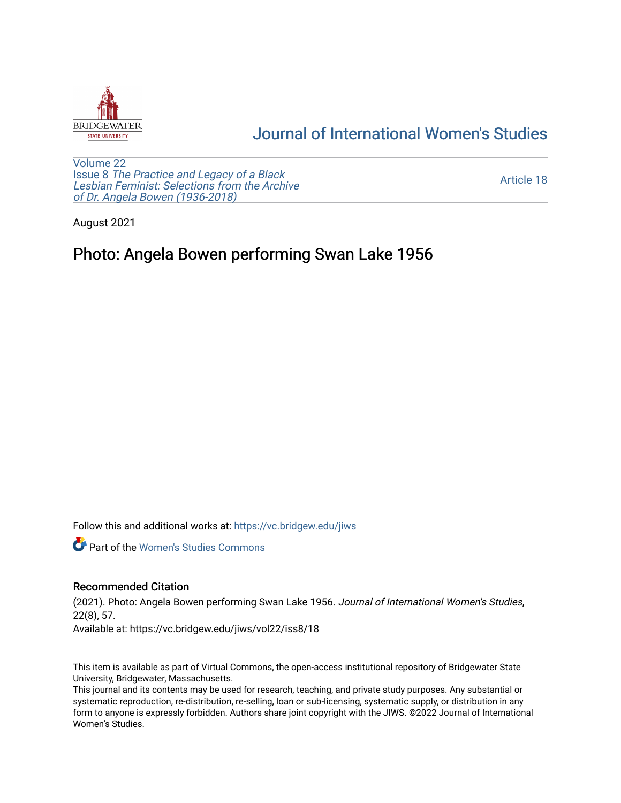

## [Journal of International Women's Studies](https://vc.bridgew.edu/jiws)

[Volume 22](https://vc.bridgew.edu/jiws/vol22) Issue 8 [The Practice and Legacy of a Black](https://vc.bridgew.edu/jiws/vol22/iss8)  [Lesbian Feminist: Selections from the Archive](https://vc.bridgew.edu/jiws/vol22/iss8)  [of Dr. Angela Bowen \(1936-2018\)](https://vc.bridgew.edu/jiws/vol22/iss8)

[Article 18](https://vc.bridgew.edu/jiws/vol22/iss8/18) 

August 2021

## Photo: Angela Bowen performing Swan Lake 1956

Follow this and additional works at: [https://vc.bridgew.edu/jiws](https://vc.bridgew.edu/jiws?utm_source=vc.bridgew.edu%2Fjiws%2Fvol22%2Fiss8%2F18&utm_medium=PDF&utm_campaign=PDFCoverPages)

**C** Part of the Women's Studies Commons

## Recommended Citation

(2021). Photo: Angela Bowen performing Swan Lake 1956. Journal of International Women's Studies, 22(8), 57.

Available at: https://vc.bridgew.edu/jiws/vol22/iss8/18

This item is available as part of Virtual Commons, the open-access institutional repository of Bridgewater State University, Bridgewater, Massachusetts.

This journal and its contents may be used for research, teaching, and private study purposes. Any substantial or systematic reproduction, re-distribution, re-selling, loan or sub-licensing, systematic supply, or distribution in any form to anyone is expressly forbidden. Authors share joint copyright with the JIWS. ©2022 Journal of International Women's Studies.